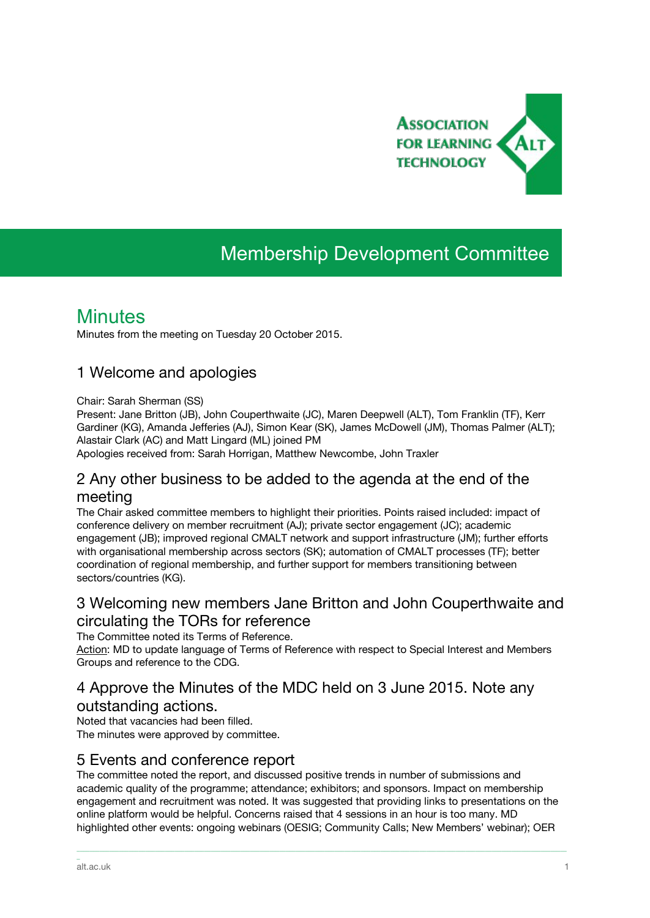

# Membership Development Committee

### **Minutes**

Minutes from the meeting on Tuesday 20 October 2015.

#### 1 Welcome and apologies

#### Chair: Sarah Sherman (SS)

Present: Jane Britton (JB), John Couperthwaite (JC), Maren Deepwell (ALT), Tom Franklin (TF), Kerr Gardiner (KG), Amanda Jefferies (AJ), Simon Kear (SK), James McDowell (JM), Thomas Palmer (ALT); Alastair Clark (AC) and Matt Lingard (ML) joined PM

Apologies received from: Sarah Horrigan, Matthew Newcombe, John Traxler

#### 2 Any other business to be added to the agenda at the end of the meeting

The Chair asked committee members to highlight their priorities. Points raised included: impact of conference delivery on member recruitment (AJ); private sector engagement (JC); academic engagement (JB); improved regional CMALT network and support infrastructure (JM); further efforts with organisational membership across sectors (SK); automation of CMALT processes (TF); better coordination of regional membership, and further support for members transitioning between sectors/countries (KG).

#### 3 Welcoming new members Jane Britton and John Couperthwaite and circulating the TORs for reference

The Committee noted its Terms of Reference.

Action: MD to update language of Terms of Reference with respect to Special Interest and Members Groups and reference to the CDG.

#### 4 Approve the Minutes of the MDC held on 3 June 2015. Note any outstanding actions.

Noted that vacancies had been filled. The minutes were approved by committee.

#### 5 Events and conference report

The committee noted the report, and discussed positive trends in number of submissions and academic quality of the programme; attendance; exhibitors; and sponsors. Impact on membership engagement and recruitment was noted. It was suggested that providing links to presentations on the online platform would be helpful. Concerns raised that 4 sessions in an hour is too many. MD highlighted other events: ongoing webinars (OESIG; Community Calls; New Members' webinar); OER

\_\_\_\_\_\_\_\_\_\_\_\_\_\_\_\_\_\_\_\_\_\_\_\_\_\_\_\_\_\_\_\_\_\_\_\_\_\_\_\_\_\_\_\_\_\_\_\_\_\_\_\_\_\_\_\_\_\_\_\_\_\_\_\_\_\_\_\_\_\_\_\_\_\_\_\_\_\_\_\_\_\_\_\_\_\_\_\_\_\_\_\_\_\_\_\_\_\_\_\_\_\_\_\_\_\_\_\_\_\_\_\_\_\_\_\_\_\_\_\_\_\_\_\_\_\_\_\_\_\_\_\_\_\_\_\_\_\_\_\_\_\_\_\_\_\_\_\_\_\_

\_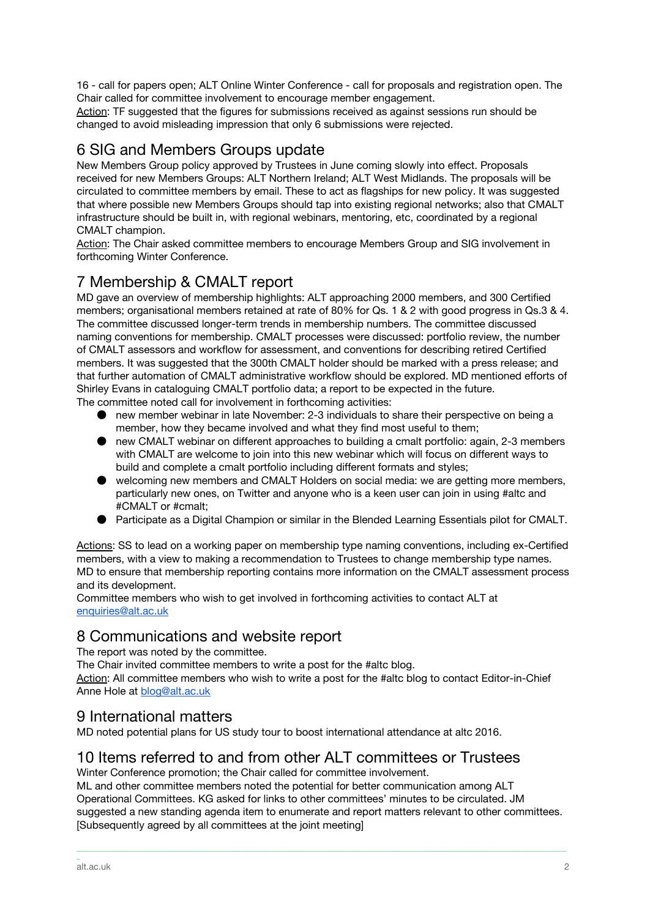16 - call for papers open; ALT Online Winter Conference - call for proposals and registration open. The Chair called for committee involvement to encourage member engagement.

Action: TF suggested that the figures for submissions received as against sessions run should be changed to avoid misleading impression that only 6 submissions were rejected.

#### 6 SIG and Members Groups update

New Members Group policy approved by Trustees in June coming slowly into effect. Proposals received for new Members Groups: ALT Northern Ireland; ALT West Midlands. The proposals will be circulated to committee members by email. These to act as flagships for new policy. It was suggested that where possible new Members Groups should tap into existing regional networks; also that CMALT infrastructure should be built in, with regional webinars, mentoring, etc, coordinated by a regional CMALT champion.

Action: The Chair asked committee members to encourage Members Group and SIG involvement in forthcoming Winter Conference.

### 7 Membership & CMALT report

MD gave an overview of membership highlights: ALT approaching 2000 members, and 300 Certified members; organisational members retained at rate of 80% for Qs. 1 & 2 with good progress in Qs.3 & 4. The committee discussed longer-term trends in membership numbers. The committee discussed naming conventions for membership. CMALT processes were discussed: portfolio review, the number of CMALT assessors and workflow for assessment, and conventions for describing retired Certified members. It was suggested that the 300th CMALT holder should be marked with a press release; and that further automation of CMALT administrative workflow should be explored. MD mentioned efforts of Shirley Evans in cataloguing CMALT portfolio data; a report to be expected in the future. The committee noted call for involvement in forthcoming activities:

- new member webinar in late November: 2-3 individuals to share their perspective on being a member, how they became involved and what they find most useful to them;
- new CMALT webinar on different approaches to building a cmalt portfolio: again, 2-3 members with CMALT are welcome to join into this new webinar which will focus on different ways to build and complete a cmalt portfolio including different formats and styles;
- welcoming new members and CMALT Holders on social media: we are getting more members, particularly new ones, on Twitter and anyone who is a keen user can join in using #altc and #CMALT or #cmalt;
- Participate as a Digital Champion or similar in the Blended Learning Essentials pilot for CMALT.

Actions: SS to lead on a working paper on membership type naming conventions, including ex-Certified members, with a view to making a recommendation to Trustees to change membership type names. MD to ensure that membership reporting contains more information on the CMALT assessment process and its development.

Committee members who wish to get involved in forthcoming activities to contact ALT at [enquiries@alt.ac.uk](mailto:enquiries@alt.ac.uk)

#### 8 Communications and website report

The report was noted by the committee.

The Chair invited committee members to write a post for the #altc blog.

Action: All committee members who wish to write a post for the #altc blog to contact Editor-in-Chief Anne Hole at [blog@alt.ac.uk](mailto:blog@alt.ac.uk)

#### 9 International matters

MD noted potential plans for US study tour to boost international attendance at altc 2016.

#### 10 Items referred to and from other ALT committees or Trustees

Winter Conference promotion; the Chair called for committee involvement.

ML and other committee members noted the potential for better communication among ALT Operational Committees. KG asked for links to other committees' minutes to be circulated. JM suggested a new standing agenda item to enumerate and report matters relevant to other committees. [Subsequently agreed by all committees at the joint meeting]

\_\_\_\_\_\_\_\_\_\_\_\_\_\_\_\_\_\_\_\_\_\_\_\_\_\_\_\_\_\_\_\_\_\_\_\_\_\_\_\_\_\_\_\_\_\_\_\_\_\_\_\_\_\_\_\_\_\_\_\_\_\_\_\_\_\_\_\_\_\_\_\_\_\_\_\_\_\_\_\_\_\_\_\_\_\_\_\_\_\_\_\_\_\_\_\_\_\_\_\_\_\_\_\_\_\_\_\_\_\_\_\_\_\_\_\_\_\_\_\_\_\_\_\_\_\_\_\_\_\_\_\_\_\_\_\_\_\_\_\_\_\_\_\_\_\_\_\_\_\_